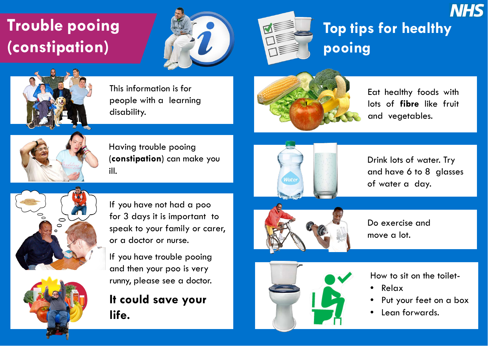# **Trouble pooing (constipation)**





This information is for people with a learning disability.



Having trouble pooing (**constipation**) can make you ill.



If you have not had a poo for 3 days it is important to speak to your family or carer, or a doctor or nurse.

- Relax
- Put your feet on a box
- Lean forwards.

If you have trouble pooing and then your poo is very runny, please see a doctor.

### **It could save your life.**











## **Top tips for healthy pooing**



Eat healthy foods with lots of **fibre** like fruit and vegetables.

How to sit on the toilet-

Do exercise and

move a lot.

Drink lots of water. Try and have 6 to 8 glasses of water a day.